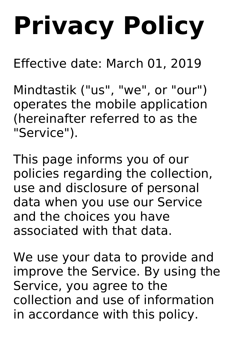# **Privacy Policy**

Effective date: March 01, 2019

Mindtastik ("us" , "we" , or "our") operates the mobile application (hereinafter referred to as the "Service").

This page informs you of our policies regarding the collection, use and disclosure of personal data when you use our Service and the choices you have associated with that data.

We use your data to provide and improve the Service. By using the Service, you agree to the collection and use of information in accordance with this policy.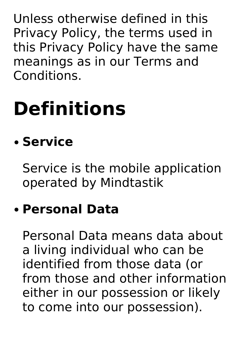Unless otherwise defined in this Privacy Policy, the terms used in this Privacy Policy have the same meanings as in our Terms and Conditions.

# **Definitions**

#### **Service**

Service is the mobile application operated by Mindtastik

#### **Personal Data**

Personal Data means data about a living individual who can be identified from those data (or from those and other information either in our possession or likely to come into our possession).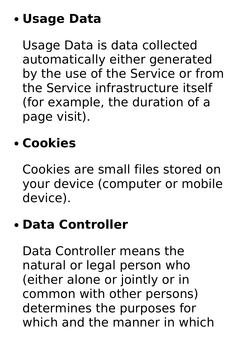#### **Usage Data**

Usage Data is data collected automatically either generated by the use of the Service or from the Service infrastructure itself (for example, the duration of a page visit).

#### **Cookies**

Cookies are small files stored on your device (computer or mobile device).

#### **Data Controller**

Data Controller means the natural or legal person who (either alone or jointly or in common with other persons) determines the purposes for which and the manner in which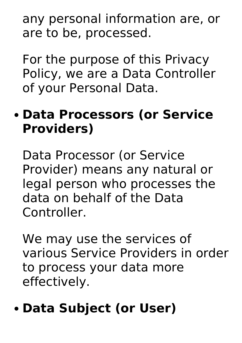any personal information are, or are to be, processed.

For the purpose of this Privacy Policy, we are a Data Controller of your Personal Data.

#### **Data Processors (or Service Providers)**

Data Processor (or Service Provider) means any natural or legal person who processes the data on behalf of the Data Controller.

We may use the services of various Service Providers in order to process your data more effectively.

#### **Data Subject (or User)**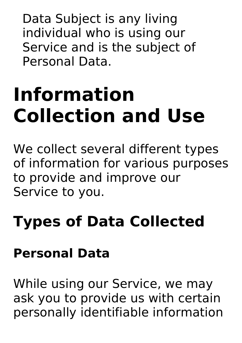Data Subject is any living individual who is using our Service and is the subject of Personal Data.

# **Information Collection and Use**

We collect several different types of information for various purposes to provide and improve our Service to you.

### **Types of Data Collected**

#### **Personal Data**

While using our Service, we may ask you to provide us with certain personally identifiable information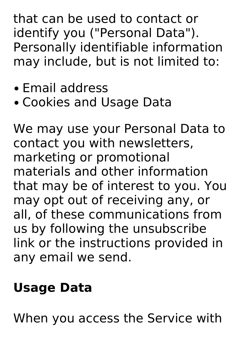that can be used to contact or identify you ("Personal Data"). Personally identifiable information may include, but is not limited to:

- Email address
- Cookies and Usage Data

We may use your Personal Data to contact you with newsletters, marketing or promotional materials and other information that may be of interest to you. You may opt out of receiving any, or all, of these communications from us by following the unsubscribe link or the instructions provided in any email we send.

#### **Usage Data**

When you access the Service with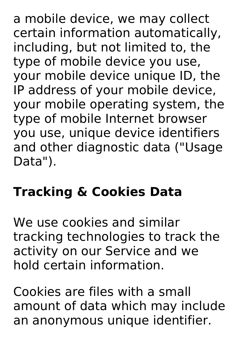a mobile device, we may collect certain information automatically, including, but not limited to, the type of mobile device you use, your mobile device unique ID, the IP address of your mobile device, your mobile operating system, the type of mobile Internet browser you use, unique device identifiers and other diagnostic data ("Usage Data").

#### **Tracking & Cookies Data**

We use cookies and similar tracking technologies to track the activity on our Service and we hold certain information.

Cookies are files with a small amount of data which may include an anonymous unique identifier.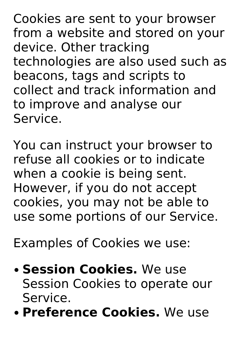Cookies are sent to your browser from a website and stored on your device. Other tracking technologies are also used such as beacons, tags and scripts to collect and track information and to improve and analyse our Service.

You can instruct your browser to refuse all cookies or to indicate when a cookie is being sent. However, if you do not accept cookies, you may not be able to use some portions of our Service.

Examples of Cookies we use:

- **Session Cookies.** We use Session Cookies to operate our Service.
- **Preference Cookies.** We use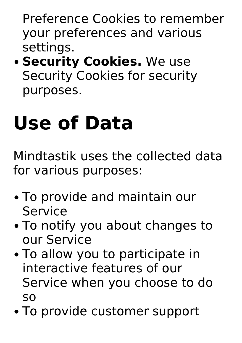Preference Cookies to remember your preferences and various settings.

**• Security Cookies.** We use Security Cookies for security purposes.

# **Use of Data**

Mindtastik uses the collected data for various purposes:

- To provide and maintain our Service
- To notify you about changes to our Service
- To allow you to participate in interactive features of our Service when you choose to do so
- To provide customer support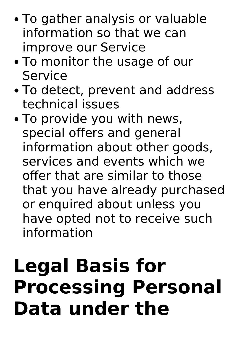- To gather analysis or valuable information so that we can improve our Service
- To monitor the usage of our Service
- To detect, prevent and address technical issues
- To provide you with news, special offers and general information about other goods, services and events which we offer that are similar to those that you have already purchased or enquired about unless you have opted not to receive such information

### **Legal Basis for Processing Personal Data under the**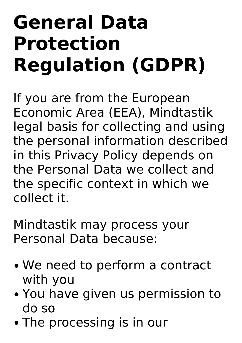### **General Data Protection Regulation (GDPR)**

If you are from the European Economic Area (EEA), Mindtastik legal basis for collecting and using the personal information described in this Privacy Policy depends on the Personal Data we collect and the specific context in which we collect it.

Mindtastik may process your Personal Data because:

- We need to perform a contract with you
- You have given us permission to do so
- The processing is in our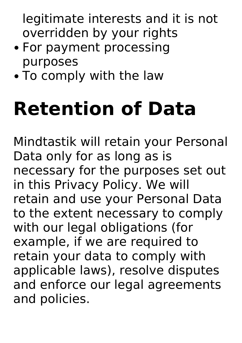legitimate interests and it is not overridden by your rights

- For payment processing purposes
- To comply with the law

# **Retention of Data**

Mindtastik will retain your Personal Data only for as long as is necessary for the purposes set out in this Privacy Policy. We will retain and use your Personal Data to the extent necessary to comply with our legal obligations (for example, if we are required to retain your data to comply with applicable laws), resolve disputes and enforce our legal agreements and policies.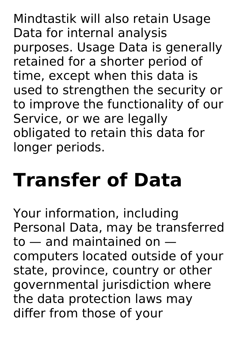Mindtastik will also retain Usage Data for internal analysis purposes. Usage Data is generally retained for a shorter period of time, except when this data is used to strengthen the security or to improve the functionality of our Service, or we are legally obligated to retain this data for longer periods.

# **Transfer of Data**

Your information, including Personal Data, may be transferred to — and maintained on computers located outside of your state, province, country or other governmental jurisdiction where the data protection laws may differ from those of your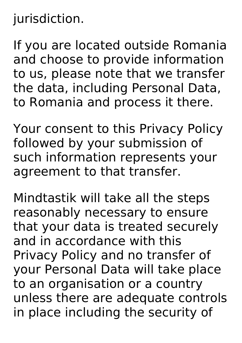#### jurisdiction.

If you are located outside Romania and choose to provide information to us, please note that we transfer the data, including Personal Data, to Romania and process it there.

Your consent to this Privacy Policy followed by your submission of such information represents your agreement to that transfer.

Mindtastik will take all the steps reasonably necessary to ensure that your data is treated securely and in accordance with this Privacy Policy and no transfer of your Personal Data will take place to an organisation or a country unless there are adequate controls in place including the security of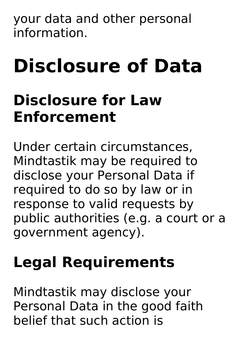your data and other personal information.

# **Disclosure of Data**

### **Disclosure for Law Enforcement**

Under certain circumstances, Mindtastik may be required to disclose your Personal Data if required to do so by law or in response to valid requests by public authorities (e.g. a court or a government agency).

### **Legal Requirements**

Mindtastik may disclose your Personal Data in the good faith belief that such action is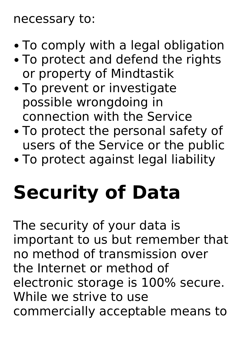#### necessary to:

- To comply with a legal obligation
- To protect and defend the rights or property of Mindtastik
- To prevent or investigate possible wrongdoing in connection with the Service
- To protect the personal safety of users of the Service or the public
- To protect against legal liability

# **Security of Data**

The security of your data is important to us but remember that no method of transmission over the Internet or method of electronic storage is 100% secure. While we strive to use commercially acceptable means to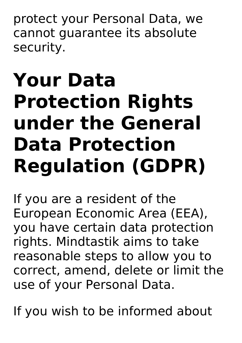protect your Personal Data, we cannot guarantee its absolute security.

### **Your Data Protection Rights under the General Data Protection Regulation (GDPR)**

If you are a resident of the European Economic Area (EEA), you have certain data protection rights. Mindtastik aims to take reasonable steps to allow you to correct, amend, delete or limit the use of your Personal Data.

If you wish to be informed about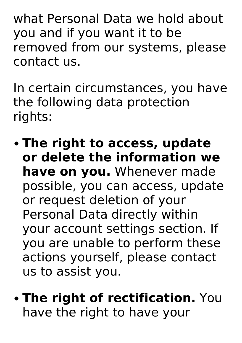what Personal Data we hold about you and if you want it to be removed from our systems, please contact us.

In certain circumstances, you have the following data protection rights:

- **The right to access, update or delete the information we have on you.** Whenever made possible, you can access, update or request deletion of your Personal Data directly within your account settings section. If you are unable to perform these actions yourself, please contact us to assist you.
- **The right of rectification.** You have the right to have your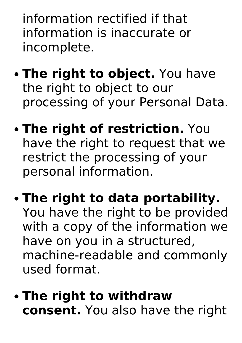information rectified if that information is inaccurate or incomplete.

- **The right to object.** You have the right to object to our processing of your Personal Data.
- **The right of restriction.** You have the right to request that we restrict the processing of your personal information.
- **The right to data portability.** You have the right to be provided with a copy of the information we have on you in a structured, machine-readable and commonly used format.
- **The right to withdraw consent.** You also have the right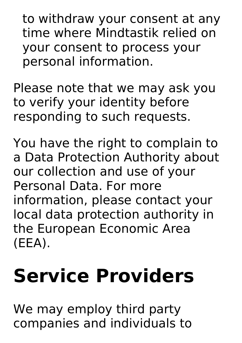to withdraw your consent at any time where Mindtastik relied on your consent to process your personal information.

Please note that we may ask you to verify your identity before responding to such requests.

You have the right to complain to a Data Protection Authority about our collection and use of your Personal Data. For more information, please contact your local data protection authority in the European Economic Area (EEA).

# **Service Providers**

We may employ third party companies and individuals to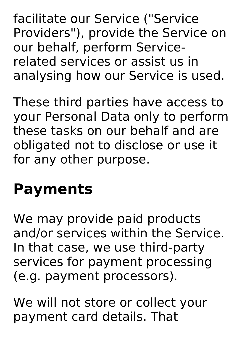facilitate our Service ("Service Providers"), provide the Service on our behalf, perform Service related services or assist us in analysing how our Service is used.

These third parties have access to your Personal Data only to perform these tasks on our behalf and are obligated not to disclose or use it for any other purpose.

### **Payments**

We may provide paid products and/or services within the Service. In that case, we use third-party services for payment processing (e.g. payment processors).

We will not store or collect your payment card details. That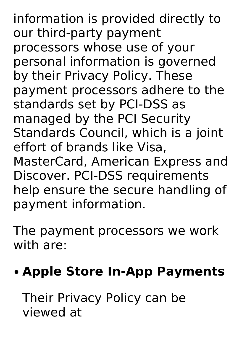information is provided directly to our third-party payment processors whose use of your personal information is governed by their Privacy Policy. These payment processors adhere to the standards set by PCI-DSS as managed by the PCI Security Standards Council, which is a joint effort of brands like Visa, MasterCard, American Express and Discover. PCI-DSS requirements help ensure the secure handling of payment information.

The payment processors we work with are:

#### **Apple Store In-App Payments**

Their Privacy Policy can be viewed at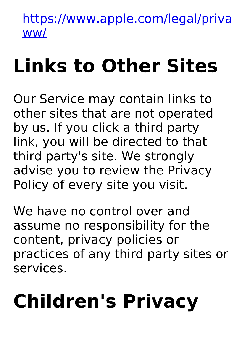https://www.apple.com/legal/priva ww/

# **Links to Other Sites**

Our Service may contain links to other sites that are not operated by us. If you click a third party link, you will be directed to that third party's site. We strongly advise you to review the Privacy Policy of every site you visit.

We have no control over and assume no responsibility for the content, privacy policies or practices of any third party sites or services.

# **Children's Privacy**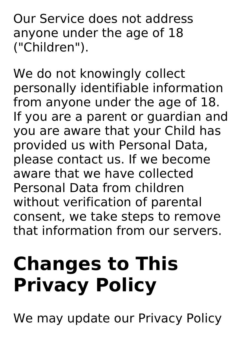Our Service does not address anyone under the age of 18 ("Children").

We do not knowingly collect personally identifiable information from anyone under the age of 18. If you are a parent or guardian and you are aware that your Child has provided us with Personal Data, please contact us. If we become aware that we have collected Personal Data from children without verification of parental consent, we take steps to remove that information from our servers.

# **Changes to This Privacy Policy**

We may update our Privacy Policy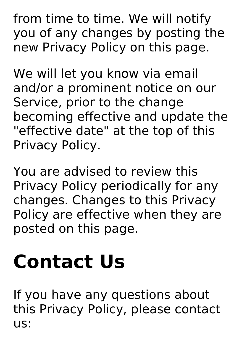from time to time. We will notify you of any changes by posting the new Privacy Policy on this page.

We will let you know via email and/or a prominent notice on our Service, prior to the change becoming effective and update the "effective date" at the top of this Privacy Policy.

You are advised to review this Privacy Policy periodically for any changes. Changes to this Privacy Policy are effective when they are posted on this page.

# **Contact Us**

If you have any questions about this Privacy Policy, please contact us: